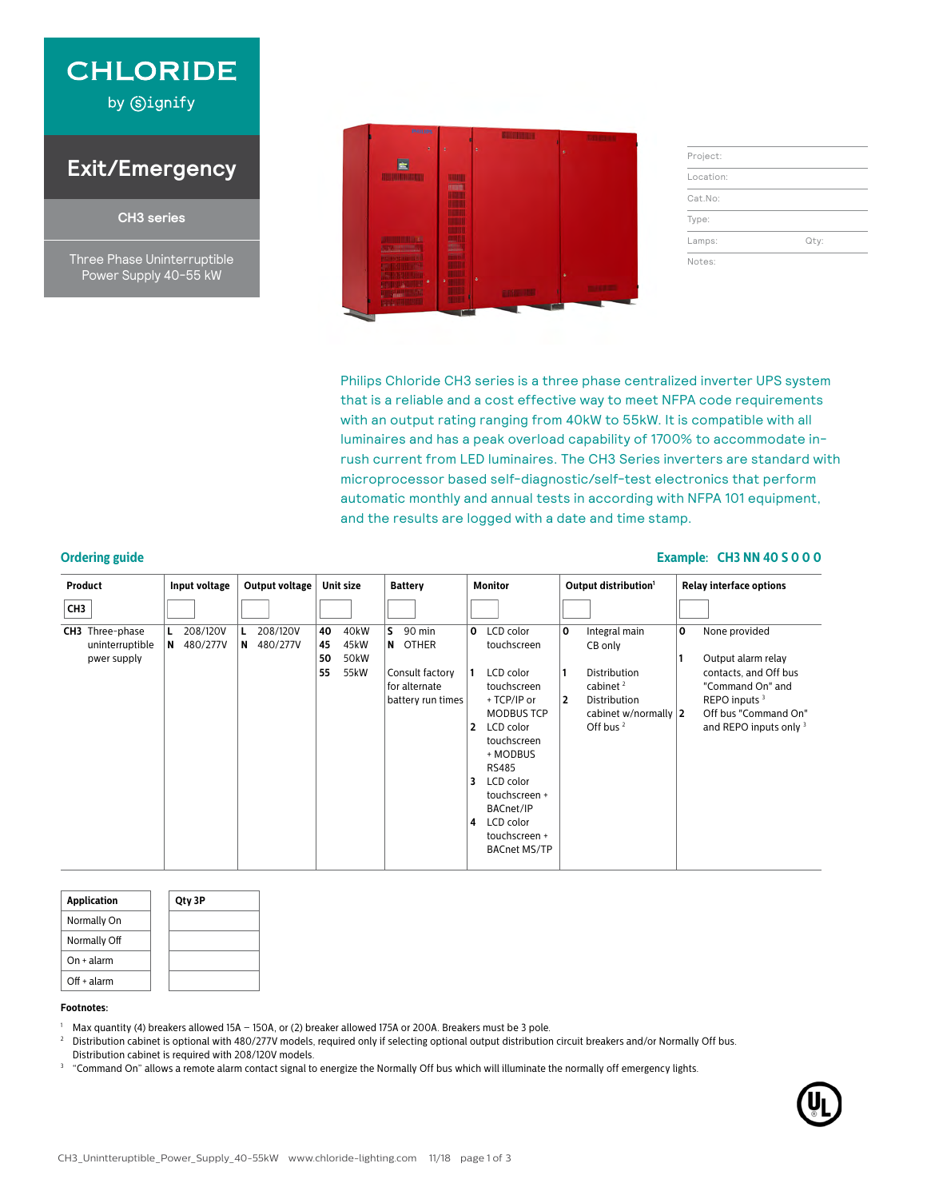

by Signify

## **Exit/Emergency**

**CH3 series**

Three Phase Uninterruptible Power Supply 40-55 kW



| Qty: |
|------|
|      |

Philips Chloride CH3 series is a three phase centralized inverter UPS system that is a reliable and a cost effective way to meet NFPA code requirements with an output rating ranging from 40kW to 55kW. It is compatible with all luminaires and has a peak overload capability of 1700% to accommodate inrush current from LED luminaires. The CH3 Series inverters are standard with microprocessor based self-diagnostic/self-test electronics that perform automatic monthly and annual tests in according with NFPA 101 equipment, and the results are logged with a date and time stamp.

#### **Ordering guide Example: CH3 NN 40 S 0 0 0**

| Product                                                  | Input voltage          | Output voltage            | Unit size                                                         | <b>Battery</b>                                                                   | <b>Monitor</b>                                                                                                                                                                                                                                                       | Output distribution <sup>1</sup>                                                                                                          | <b>Relay interface options</b>                                                                                                                                      |
|----------------------------------------------------------|------------------------|---------------------------|-------------------------------------------------------------------|----------------------------------------------------------------------------------|----------------------------------------------------------------------------------------------------------------------------------------------------------------------------------------------------------------------------------------------------------------------|-------------------------------------------------------------------------------------------------------------------------------------------|---------------------------------------------------------------------------------------------------------------------------------------------------------------------|
| CH3                                                      |                        |                           |                                                                   |                                                                                  |                                                                                                                                                                                                                                                                      |                                                                                                                                           |                                                                                                                                                                     |
| <b>CH3</b> Three-phase<br>uninterruptible<br>pwer supply | 208/120V<br>N 480/277V | 208/120V<br>480/277V<br>N | 40<br>40 <sub>k</sub> W<br>45kW<br>45<br>50kW<br>50<br>55<br>55kW | S.<br>90 min<br>N OTHER<br>Consult factory<br>for alternate<br>battery run times | LCD color<br>0<br>touchscreen<br>LCD color<br>touchscreen<br>+ TCP/IP or<br><b>MODBUS TCP</b><br>LCD color<br>2<br>touchscreen<br>+ MODBUS<br><b>RS485</b><br>LCD color<br>3<br>touchscreen +<br>BACnet/IP<br>LCD color<br>4<br>touchscreen +<br><b>BACnet MS/TP</b> | 0<br>Integral main<br>CB only<br>Distribution<br>cabinet $2$<br>$\overline{2}$<br>Distribution<br>cabinet w/normally $ 2 $<br>Off bus $2$ | None provided<br>0<br>Output alarm relay<br>contacts, and Off bus<br>"Command On" and<br>REPO inputs <sup>3</sup><br>Off bus "Command On"<br>and REPO inputs only 3 |

| <b>Application</b> | Qty 3P |
|--------------------|--------|
| Normally On        |        |
| Normally Off       |        |
| $On + alarm$       |        |
| $Off + alarm$      |        |

#### **Footnotes:**

- 
- <sup>1</sup> Max quantity (4) breakers allowed 15A 15OA, or (2) breaker allowed 175A or 20OA. Breakers must be 3 pole.<br><sup>2</sup> Distribution cabinet is optional with 480/277V models, required only if selecting optional output distribu Distribution cabinet is required with 208/120V models.
- <sup>3</sup> "Command On" allows a remote alarm contact signal to energize the Normally Off bus which will illuminate the normally off emergency lights.

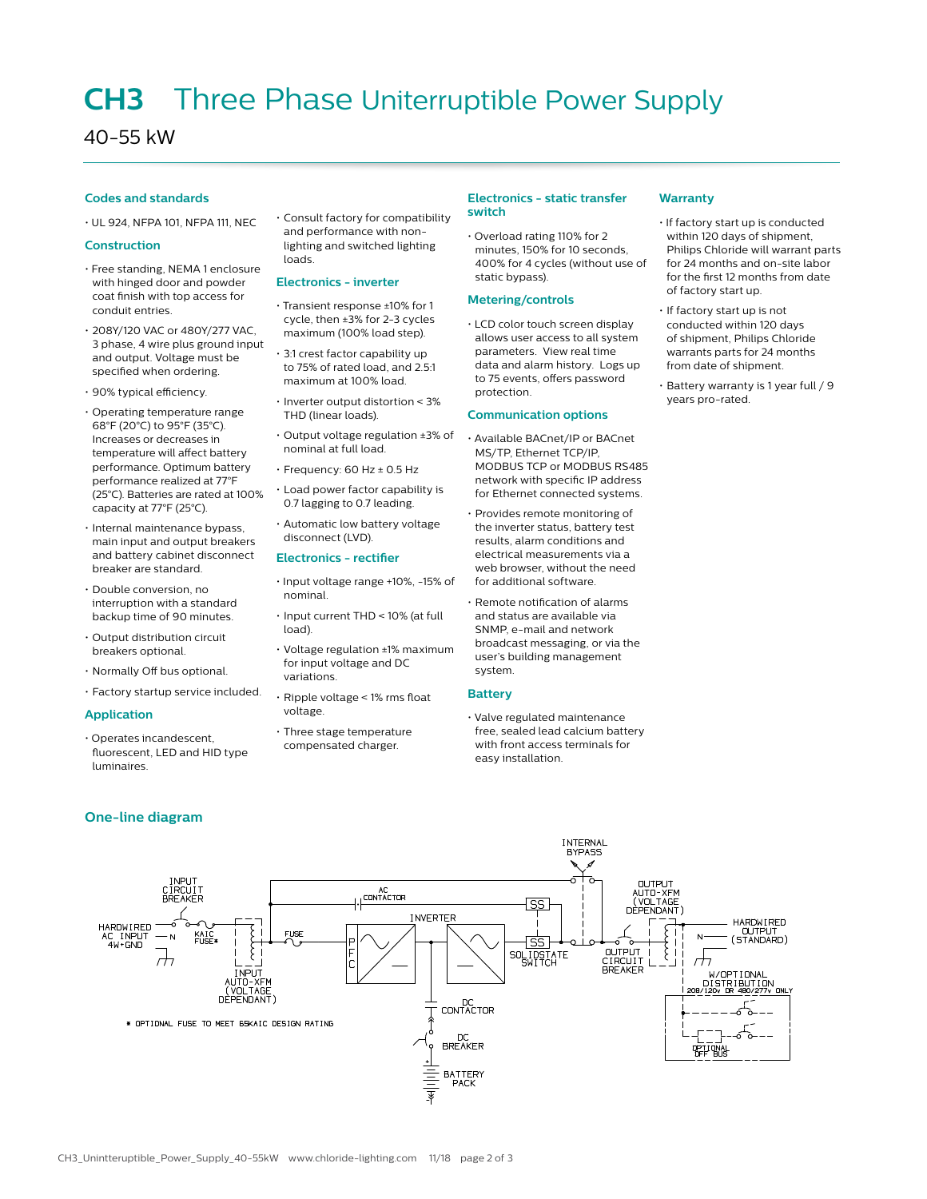## **CH3** Three Phase Uniterruptible Power Supply

### 40-55 kW

#### **Codes and standards**

• UL 924, NFPA 101, NFPA 111, NEC

#### **Construction**

- Free standing, NEMA 1 enclosure with hinged door and powder coat finish with top access for conduit entries.
- 208Y/120 VAC or 480Y/277 VAC, 3 phase, 4 wire plus ground input and output. Voltage must be specified when ordering.
- 90% typical efficiency.
- Operating temperature range 68°F (20°C) to 95°F (35°C). Increases or decreases in temperature will affect battery performance. Optimum battery performance realized at 77°F (25°C). Batteries are rated at 100% capacity at 77°F (25°C).
- Internal maintenance bypass, main input and output breakers and battery cabinet disconnect breaker are standard.
- Double conversion, no interruption with a standard backup time of 90 minutes.
- Output distribution circuit breakers optional.
- Normally Off bus optional.
- Factory startup service included.

#### **Application**

• Operates incandescent, fluorescent, LED and HID type luminaires.

#### **One-line diagram**

• Consult factory for compatibility and performance with nonlighting and switched lighting loads.

#### **Electronics - inverter**

- Transient response ±10% for 1 cycle, then ±3% for 2-3 cycles maximum (100% load step).
- 3:1 crest factor capability up to 75% of rated load, and 2.5:1 maximum at 100% load.
- Inverter output distortion < 3% THD (linear loads).
- Output voltage regulation ±3% of nominal at full load.
- $\cdot$  Frequency: 60 Hz  $\pm$  0.5 Hz
- Load power factor capability is 0.7 lagging to 0.7 leading.
- Automatic low battery voltage disconnect (LVD).

#### **Electronics - rectifier**

- Input voltage range +10%, -15% of nominal.
- Input current THD < 10% (at full load).
- Voltage regulation ±1% maximum for input voltage and DC variations.
- Ripple voltage < 1% rms float voltage.
- Three stage temperature
- compensated charger.

#### **Electronics - static transfer switch**

• Overload rating 110% for 2 minutes, 150% for 10 seconds, 400% for 4 cycles (without use of static bypass).

#### **Metering/controls**

• LCD color touch screen display allows user access to all system parameters. View real time data and alarm history. Logs up to 75 events, offers password protection.

#### **Communication options**

- Available BACnet/IP or BACnet MS/TP, Ethernet TCP/IP, MODBUS TCP or MODBUS RS485 network with specific IP address for Ethernet connected systems.
- Provides remote monitoring of the inverter status, battery test results, alarm conditions and electrical measurements via a web browser, without the need for additional software.
- Remote notification of alarms and status are available via SNMP, e-mail and network broadcast messaging, or via the user's building management system.

#### **Battery**

• Valve regulated maintenance free, sealed lead calcium battery with front access terminals for easy installation.

#### **Warranty**

- If factory start up is conducted within 120 days of shipment, Philips Chloride will warrant parts for 24 months and on-site labor for the first 12 months from date of factory start up.
- If factory start up is not conducted within 120 days of shipment, Philips Chloride warrants parts for 24 months from date of shipment.
- Battery warranty is 1 year full / 9 years pro-rated.